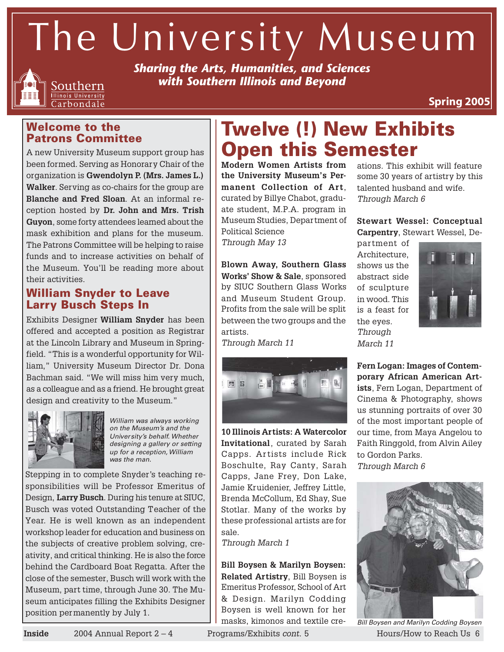The University Museum



*Sharing the Arts, Humanities, and Sciences with Southern Illinois and Beyond*

**Spring 2005**

### **Welcome to the Patrons Committee**

A new University Museum support group has been formed. Serving as Honorary Chair of the organization is **Gwendolyn P. (Mrs. James L.) Walker**. Serving as co-chairs for the group are **Blanche and Fred Sloan**. At an informal reception hosted by **Dr. John and Mrs. Trish Guyon**, some forty attendees learned about the mask exhibition and plans for the museum. The Patrons Committee will be helping to raise funds and to increase activities on behalf of the Museum. You'll be reading more about their activities.

### **William Snyder to Leave Larry Busch Steps In**

Exhibits Designer **William Snyder** has been offered and accepted a position as Registrar at the Lincoln Library and Museum in Springfield. "This is a wonderful opportunity for William," University Museum Director Dr. Dona Bachman said. "We will miss him very much, as a colleague and as a friend. He brought great design and creativity to the Museum."



William was always working on the Museum's and the University's behalf. Whether designing a gallery or setting up for a reception, William was the man.

Stepping in to complete Snyder's teaching responsibilities will be Professor Emeritus of Design, **Larry Busch**. During his tenure at SIUC, Busch was voted Outstanding Teacher of the Year. He is well known as an independent workshop leader for education and business on the subjects of creative problem solving, creativity, and critical thinking. He is also the force behind the Cardboard Boat Regatta. After the close of the semester, Busch will work with the Museum, part time, through June 30. The Museum anticipates filling the Exhibits Designer position permanently by July 1.

## ations. This exhibit will feature **Twelve (!) New Exhibits Open this Semester**

**Modern Women Artists from the University Museum's Permanent Collection of Art**, curated by Billye Chabot, graduate student, M.P.A. program in Museum Studies, Department of Political Science Through May 13

**Blown Away, Southern Glass Works' Show & Sale**, sponsored by SIUC Southern Glass Works and Museum Student Group. Profits from the sale will be split between the two groups and the artists.

Through March 11



**10 Illinois Artists: A Watercolor Invitational**, curated by Sarah Capps. Artists include Rick Boschulte, Ray Canty, Sarah Capps, Jane Frey, Don Lake, Jamie Kruidenier, Jeffrey Little, Brenda McCollum, Ed Shay, Sue Stotlar. Many of the works by these professional artists are for sale.

Through March 1

**Bill Boysen & Marilyn Boysen: Related Artistry**, Bill Boysen is Emeritus Professor, School of Art & Design. Marilyn Codding Boysen is well known for her masks, kimonos and textile cre-

talented husband and wife. Through March 6 **Stewart Wessel: Conceptual**

some 30 years of artistry by this

**Carpentry**, Stewart Wessel, De-

partment of Architecture, shows us the abstract side of sculpture in wood. This is a feast for the eyes. Through March 11



**Fern Logan: Images of Contemporary African American Artists**, Fern Logan, Department of Cinema & Photography, shows us stunning portraits of over 30 of the most important people of our time, from Maya Angelou to Faith Ringgold, from Alvin Ailey to Gordon Parks.

Through March 6



**Inside** 2004 Annual Report 2 – 4 Programs/Exhibits cont. 5 Hours/How to Reach Us 6 Bill Boysen and Marilyn Codding Boysen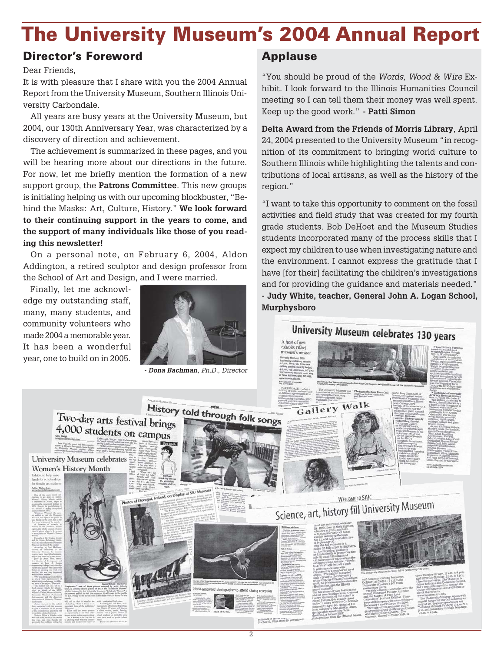## **The University Museum's 2004 Annual Report**

### **Director's Foreword**

Dear Friends,

It is with pleasure that I share with you the 2004 Annual Report from the University Museum, Southern Illinois University Carbondale.

All years are busy years at the University Museum, but 2004, our 130th Anniversary Year, was characterized by a discovery of direction and achievement.

The achievement is summarized in these pages, and you will be hearing more about our directions in the future. For now, let me briefly mention the formation of a new support group, the **Patrons Committee**. This new groups is initialing helping us with our upcoming blockbuster, "Behind the Masks: Art, Culture, History." **We look forward to their continuing support in the years to come, and the support of many individuals like those of you reading this newsletter!**

On a personal note, on February 6, 2004, Aldon Addington, a retired sculptor and design professor from the School of Art and Design, and I were married.

Finally, let me acknowledge my outstanding staff, many, many students, and community volunteers who made 2004 a memorable year. It has been a wonderful year, one to build on in 2005.



### **Applause**

"You should be proud of the Words, Wood & Wire Exhibit. I look forward to the Illinois Humanities Council meeting so I can tell them their money was well spent. Keep up the good work." **- Patti Simon**

**Delta Award from the Friends of Morris Library**, April 24, 2004 presented to the University Museum "in recognition of its commitment to bringing world culture to Southern Illinois while highlighting the talents and contributions of local artisans, as well as the history of the region."

"I want to take this opportunity to comment on the fossil activities and field study that was created for my fourth grade students. Bob DeHoet and the Museum Studies students incorporated many of the process skills that I expect my children to use when investigating nature and the environment. I cannot express the gratitude that I have [for their] facilitating the children's investigations and for providing the guidance and materials needed." **- Judy White, teacher, General John A. Logan School, Murphysboro**

University Museum celebrates 130 years



 $\overline{2}$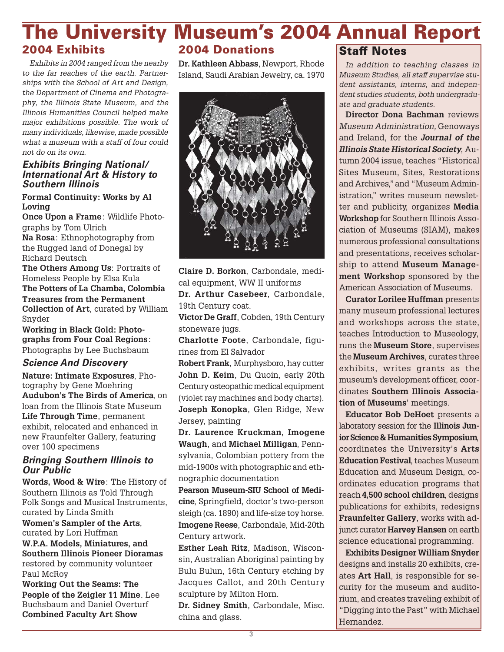#### **2004 Exhibits The University Museum's 2004 Annual Report 2004 Donations Staff Notes**

Exhibits in 2004 ranged from the nearby to the far reaches of the earth. Partnerships with the School of Art and Design, the Department of Cinema and Photography, the Illinois State Museum, and the Illinois Humanities Council helped make major exhibitions possible. The work of many individuals, likewise, made possible what a museum with a staff of four could not do on its own.

#### **Exhibits Bringing National/ International Art & History to Southern Illinois**

#### **Formal Continuity: Works by Al Loving**

**Once Upon a Frame**: Wildlife Photographs by Tom Ulrich

**Na Rosa**: Ethnophotography from the Rugged land of Donegal by Richard Deutsch

**The Others Among Us**: Portraits of Homeless People by Elsa Kula **The Potters of La Chamba, Colombia Treasures from the Permanent Collection of Art**, curated by William Snyder

**Working in Black Gold: Photographs from Four Coal Regions**: Photographs by Lee Buchsbaum

### **Science And Discovery**

**Nature: Intimate Exposures**, Photography by Gene Moehring **Audubon's The Birds of America**, on loan from the Illinois State Museum **Life Through Time**, permanent exhibit, relocated and enhanced in new Fraunfelter Gallery, featuring over 100 specimens

### **Bringing Southern Illinois to Our Public**

**Words, Wood & Wire**: The History of Southern Illinois as Told Through Folk Songs and Musical Instruments, curated by Linda Smith

**Women's Sampler of the Arts**, curated by Lori Huffman **W.P.A. Models, Miniatures, and Southern Illinois Pioneer Dioramas** restored by community volunteer Paul McRoy

**Working Out the Seams: The People of the Zeigler 11 Mine**. Lee Buchsbaum and Daniel Overturf **Combined Faculty Art Show**

**Dr. Kathleen Abbass**, Newport, Rhode Island, Saudi Arabian Jewelry, ca. 1970



**Claire D. Borkon**, Carbondale, medical equipment, WW II uniforms

**Dr. Arthur Casebeer**, Carbondale, 19th Century coat.

**Victor De Graff**, Cobden, 19th Century stoneware jugs.

**Charlotte Foote**, Carbondale, figurines from El Salvador

**Robert Frank**, Murphysboro, hay cutter **John D. Keim**, Du Quoin, early 20th Century osteopathic medical equipment (violet ray machines and body charts). **Joseph Konopka**, Glen Ridge, New Jersey, painting

**Dr. Laurence Kruckman**, **Imogene Waugh**, and **Michael Milligan**, Pennsylvania, Colombian pottery from the mid-1900s with photographic and ethnographic documentation

**Pearson Museum-SIU School of Medicine**, Springfield, doctor's two-person sleigh (ca. 1890) and life-size toy horse. **Imogene Reese**, Carbondale, Mid-20th Century artwork.

**Esther Leah Ritz**, Madison, Wisconsin, Australian Aboriginal painting by Bulu Bulun, 16th Century etching by Jacques Callot, and 20th Century sculpture by Milton Horn.

**Dr. Sidney Smith**, Carbondale, Misc. china and glass.

In addition to teaching classes in Museum Studies, all staff supervise student assistants, interns, and independent studies students, both undergraduate and graduate students.

**Director Dona Bachman** reviews Museum Administration, Genoways and Ireland, for the **Journal of the Illinois State Historical Society**, Autumn 2004 issue, teaches "Historical Sites Museum, Sites, Restorations and Archives," and "Museum Administration," writes museum newsletter and publicity, organizes **Media Workshop** for Southern Illinois Association of Museums (SIAM), makes numerous professional consultations and presentations, receives scholarship to attend **Museum Management Workshop** sponsored by the American Association of Museums.

**Curator Lorilee Huffman** presents many museum professional lectures and workshops across the state, teaches Introduction to Museology, runs the **Museum Store**, supervises the **Museum Archives**, curates three exhibits, writes grants as the museum's development officer, coordinates **Southern Illinois Association of Museums**' meetings.

**Educator Bob DeHoet** presents a laboratory session for the **Illinois Junior Science & Humanities Symposium**, coordinates the University's **Arts Education Festival**, teaches Museum Education and Museum Design, coordinates education programs that reach **4,500 school children**, designs publications for exhibits, redesigns **Fraunfelter Gallery**, works with adjunct curator **Harvey Hansen** on earth science educational programming.

**Exhibits Designer William Snyder** designs and installs 20 exhibits, creates **Art Hall**, is responsible for security for the museum and auditorium, and creates traveling exhibit of "Digging into the Past" with Michael Hernandez.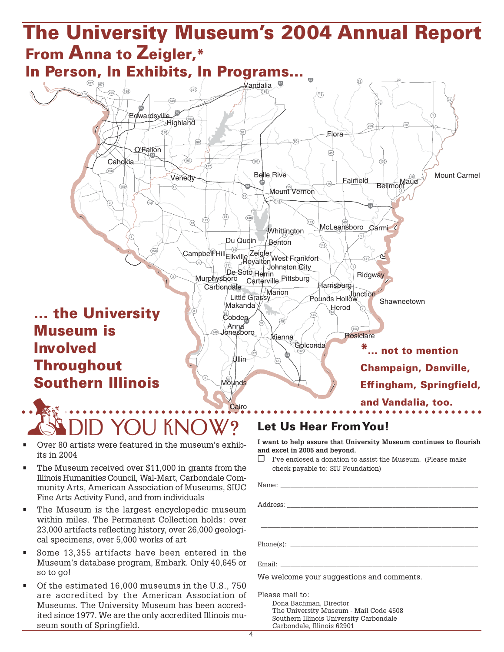#### and Vandalia, too.<br> **ADID YOU KNOW?** Let Us Hear From You! ○ ○ ○○○○○○○○○○○○○○○○○○○○○○○○○○○○○○○○○○○○○○○○○○○○○○○○○○○○○○○○○○○○○○○○○○○○ **1 1 1 1 100 127 127 13**<br> **13**<br> **14**<br> **14**<br> **14**<br> **14**<br> **14**<br> **14**<br> **14**<br> **14**<br> **14**<br> **14**<br> **14**<br> **14**<br> **14**<br> **14**<br> **14**<br> **15**<br> **15**<br> **15**<br> **15**<br> **15**<br> **15**<br> **15**<br> **15**<br> **15**<br> **15**<br> **15**<br> **15**<br> **15**<br> **15**<br> **15**<br> **15**<br> **15**<br> **15**<br> **15**<br> **15**<br> 13⊔:11 <sup>14</sup> **130 130 14 14 140 141 142 142 142 143** Highland **145 145 146 146** Golconda **146 148 15**<br>Bellmont **15** Mount Vernon **150 158 159 159 160 161 161 185 250 255 267 3 3 3 3 <sup>33</sup> <sup>33</sup> 34**  $\begin{bmatrix} 1 & 1 & 1 \end{bmatrix}$   $\begin{bmatrix} 1 & 1 & 1 \end{bmatrix}$  **50 37 45** McLeansboro **45 45 45 45 50 50 50 51** Moynds **51 51 67 24 55 57 57** Cobden **57 64 64 64 70 70** Vandalia Campbell<sup>e</sup>Hill<br>Royalton براج الطبیقی ال De Soto Herrin<br>Ioro Carterville Pittsburg Whittington Jonesboro Anna Makanda Little Gra **Cairo Resiclare** Zeigler Shawneetown **Herod** Ullin Venedy Vienna Johnston City Benton Carmi Du Quoin Fairfield  $F|_{\Omega}$ ra Mount Carmel Murphysboro West Frankfort Caho dwardsville Harrisburg Pounds Hollow Herrin Marion Belle Rive O'Fallon **Carbondale The University Museum's 2004 Annual Report From Anna to Zeigler,\* In Person, In Exhibits, In Programs... ... the University Museum is Involved Throughout Southern Illinois \*... not to mention Champaign, Danville, Effingham, Springfield,**

- Over 80 artists were featured in the museum's exhibits in 2004
- The Museum received over \$11,000 in grants from the Illinois Humanities Council, Wal-Mart, Carbondale Community Arts, American Association of Museums, SIUC Fine Arts Activity Fund, and from individuals
- The Museum is the largest encyclopedic museum within miles. The Permanent Collection holds: over 23,000 artifacts reflecting history, over 26,000 geological specimens, over 5,000 works of art
- Some 13,355 artifacts have been entered in the Museum's database program, Embark. Only 40,645 or so to go!
- Of the estimated 16,000 museums in the U.S., 750 are accredited by the American Association of Museums. The University Museum has been accredited since 1977. We are the only accredited Illinois museum south of Springfield.

**I want to help assure that University Museum continues to flourish and excel in 2005 and beyond.**

❒ I've enclosed a donation to assist the Museum. (Please make check payable to: SIU Foundation)

| We welcome your suggestions and comments. |
|-------------------------------------------|
| Please mail to:                           |
| Dona Bachman, Director                    |
| The University Museum - Mail Code 4508    |

The University Museum - Mail Code 4508 Southern Illinois University Carbondale Carbondale, Illinois 62901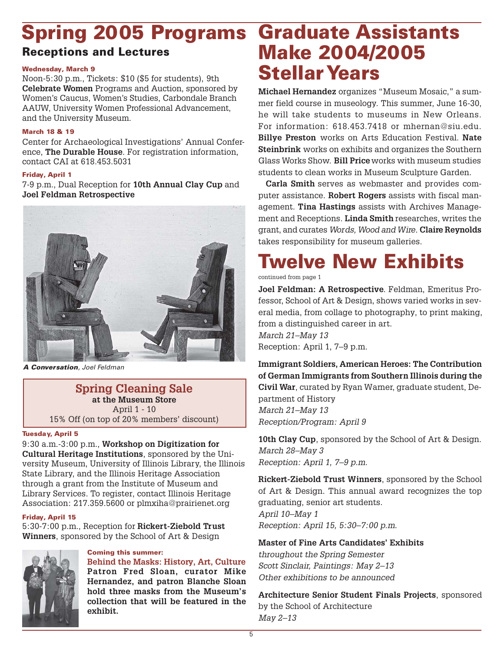## **Spring 2005 Programs**

### **Receptions and Lectures**

#### **Wednesday, March 9**

Noon-5:30 p.m., Tickets: \$10 (\$5 for students), 9th **Celebrate Women** Programs and Auction, sponsored by Women's Caucus, Women's Studies, Carbondale Branch AAUW, University Women Professional Advancement, and the University Museum.

#### **March 18 & 19**

Center for Archaeological Investigations' Annual Conference, **The Durable House**. For registration information, contact CAI at 618.453.5031

#### **Friday, April 1**

7-9 p.m., Dual Reception for **10th Annual Clay Cup** and **Joel Feldman Retrospective**



**A Conversation***, Joel Feldman*

### **Spring Cleaning Sale at the Museum Store**

April 1 - 10 15% Off (on top of 20% members' discount)

#### **Tuesday, April 5**

9:30 a.m.-3:00 p.m., **Workshop on Digitization for Cultural Heritage Institutions**, sponsored by the University Museum, University of Illinois Library, the Illinois State Library, and the Illinois Heritage Association through a grant from the Institute of Museum and Library Services. To register, contact Illinois Heritage Association: 217.359.5600 or plmxiha@prairienet.org

#### **Friday, April 15**

5:30-7:00 p.m., Reception for **Rickert-Ziebold Trust Winners**, sponsored by the School of Art & Design



#### **Coming this summer:**

**Behind the Masks: History, Art, Culture Patron Fred Sloan, curator Mike Hernandez, and patron Blanche Sloan hold three masks from the Museum's collection that will be featured in the exhibit.**

## **Graduate Assistants Make 2004/2005 Stellar Years**

**Michael Hernandez** organizes "Museum Mosaic," a summer field course in museology. This summer, June 16-30, he will take students to museums in New Orleans. For information: 618.453.7418 or mhernan@siu.edu. **Billye Preston** works on Arts Education Festival. **Nate Steinbrink** works on exhibits and organizes the Southern Glass Works Show. **Bill Price** works with museum studies students to clean works in Museum Sculpture Garden.

**Carla Smith** serves as webmaster and provides computer assistance. **Robert Rogers** assists with fiscal management. **Tina Hastings** assists with Archives Management and Receptions. **Linda Smith** researches, writes the grant, and curates Words, Wood and Wire. **Claire Reynolds** takes responsibility for museum galleries.

## **Twelve New Exhibits**

continued from page 1

**Joel Feldman: A Retrospective**. Feldman, Emeritus Professor, School of Art & Design, shows varied works in several media, from collage to photography, to print making, from a distinguished career in art. March 21–May 13

Reception: April 1, 7–9 p.m.

**Immigrant Soldiers, American Heroes: The Contribution of German Immigrants from Southern Illinois during the Civil War**, curated by Ryan Warner, graduate student, Department of History March 21–May 13 Reception/Program: April 9

**10th Clay Cup**, sponsored by the School of Art & Design. March 28–May 3 Reception: April 1, 7–9 p.m.

**Rickert-Ziebold Trust Winners**, sponsored by the School of Art & Design. This annual award recognizes the top graduating, senior art students. April 10–May 1 Reception: April 15, 5:30–7:00 p.m.

#### **Master of Fine Arts Candidates' Exhibits**

throughout the Spring Semester Scott Sinclair, Paintings: May 2–13 Other exhibitions to be announced

**Architecture Senior Student Finals Projects**, sponsored by the School of Architecture May 2–13